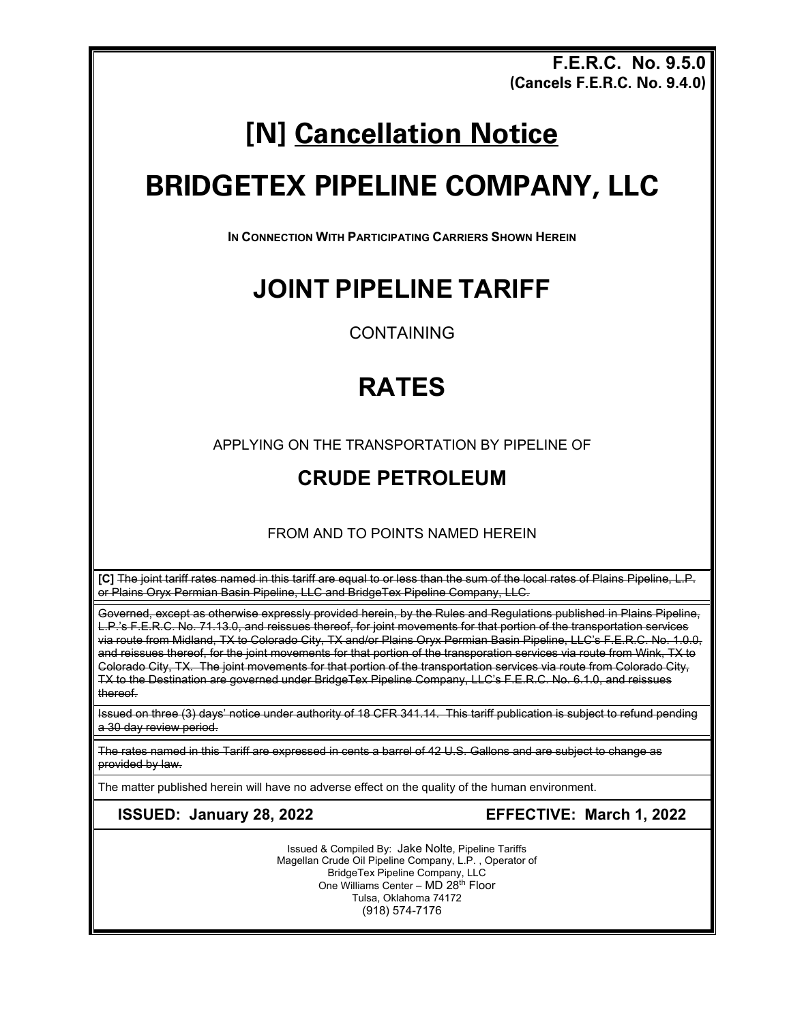**F.E.R.C. No. 9.5.0 (Cancels F.E.R.C. No. 9.4.0)**

## **[N] Cancellation Notice**

# **BRIDGETEX PIPELINE COMPANY, LLC**

**IN CONNECTION WITH PARTICIPATING CARRIERS SHOWN HEREIN** 

#### **JOINT PIPELINE TARIFF**

CONTAINING

### **RATES**

APPLYING ON THE TRANSPORTATION BY PIPELINE OF

#### **CRUDE PETROLEUM**

FROM AND TO POINTS NAMED HEREIN

**[C]** The joint tariff rates named in this tariff are equal to or less than the sum of the local rates of Plains Pipeline, L.P. or Plains Oryx Permian Basin Pipeline, LLC and BridgeTex Pipeline Company, LLC.

Governed, except as otherwise expressly provided herein, by the Rules and Regulations published in Plains Pipeline, L.P.'s F.E.R.C. No. 71.13.0, and reissues thereof, for joint movements for that portion of the transportation services via route from Midland, TX to Colorado City, TX and/or Plains Oryx Permian Basin Pipeline, LLC's F.E.R.C. No. 1.0.0, and reissues thereof, for the joint movements for that portion of the transporation services via route from Wink, TX to Colorado City, TX. The joint movements for that portion of the transportation services via route from Colorado City, TX to the Destination are governed under BridgeTex Pipeline Company, LLC's F.E.R.C. No. 6.1.0, and reissues thereof.

Issued on three (3) days' notice under authority of 18 CFR 341.14. This tariff publication is subject to refund pending a 30 day review period.

The rates named in this Tariff are expressed in cents a barrel of 42 U.S. Gallons and are subject to change as provided by law.

The matter published herein will have no adverse effect on the quality of the human environment.

**ISSUED: January 28, 2022 EFFECTIVE: March 1, 2022**

Issued & Compiled By: Jake Nolte, Pipeline Tariffs Magellan Crude Oil Pipeline Company, L.P. , Operator of BridgeTex Pipeline Company, LLC One Williams Center - MD 28<sup>th</sup> Floor Tulsa, Oklahoma 74172 (918) 574-7176